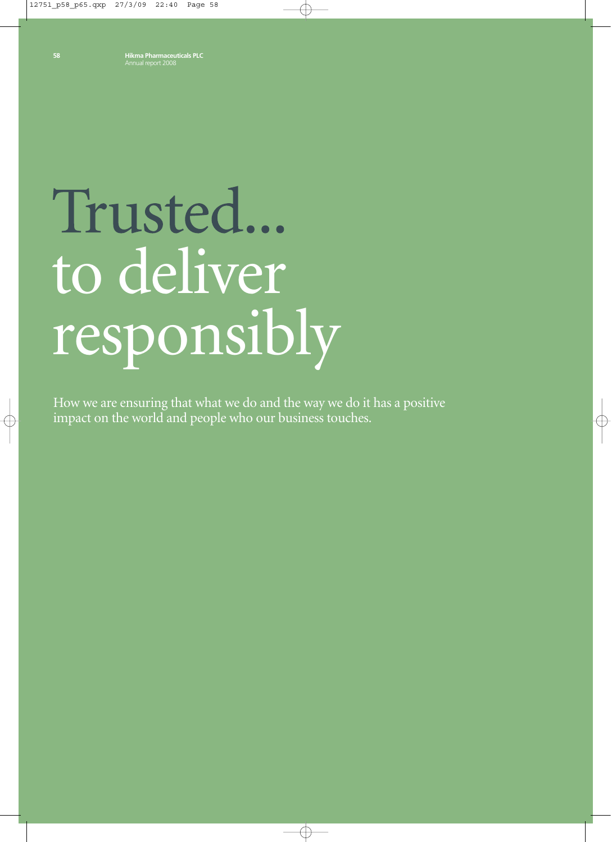# Trusted... to deliver responsibly

How we are ensuring that what we do and the way we do it has a positive impact on the world and people who our business touches.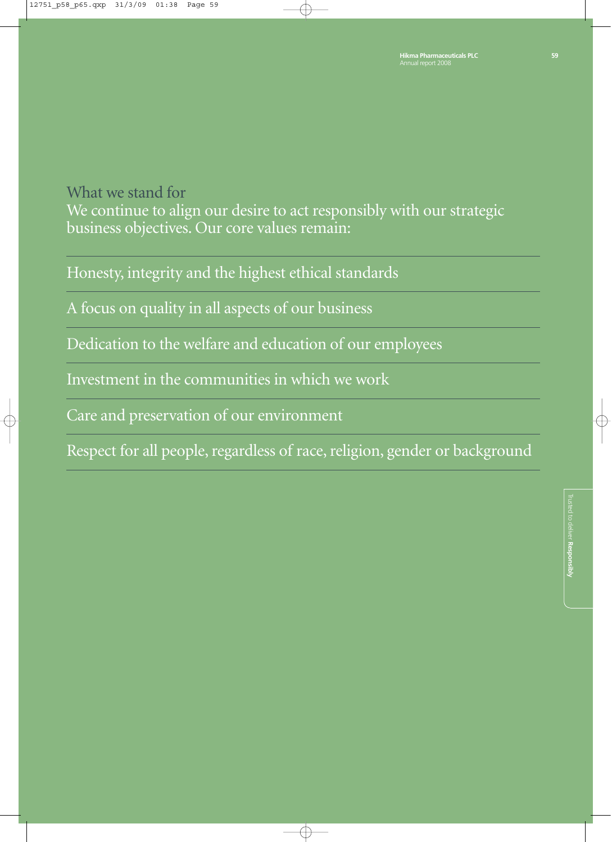# What we stand for We continue to align our desire to act responsibly with our strategic business objectives. Our core values remain:

Honesty, integrity and the highest ethical standards

A focus on quality in all aspects of our business

Dedication to the welfare and education of our employees

Investment in the communities in which we work

Care and preservation of our environment

Respect for all people, regardless of race, religion, gender or background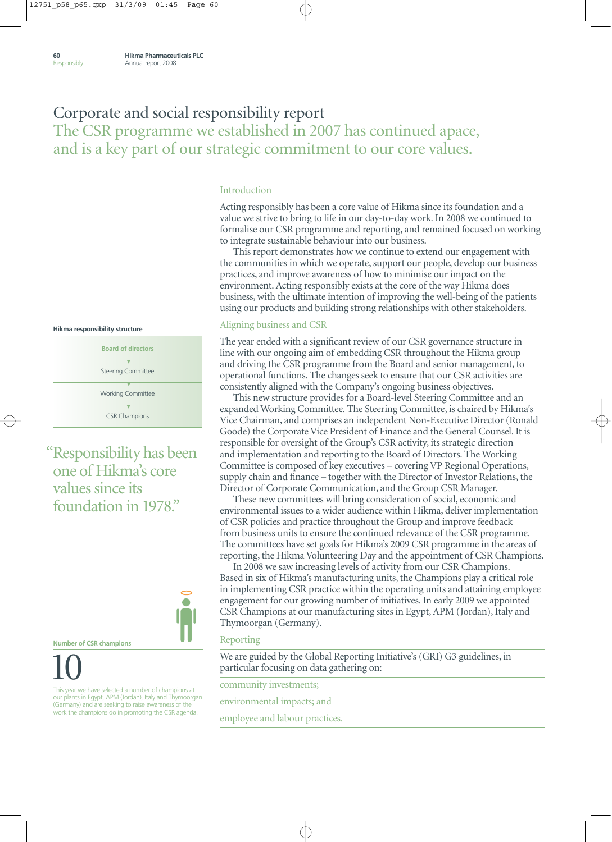# Corporate and social responsibility report The CSR programme we established in 2007 has continued apace, and is a key part of our strategic commitment to our core values.

#### Introduction

Acting responsibly has been a core value of Hikma since its foundation and a value we strive to bring to life in our day-to-day work. In 2008 we continued to formalise our CSR programme and reporting, and remained focused on working to integrate sustainable behaviour into our business.

This report demonstrates how we continue to extend our engagement with the communities in which we operate, support our people, develop our business practices, and improve awareness of how to minimise our impact on the environment. Acting responsibly exists at the core of the way Hikma does business, with the ultimate intention of improving the well-being of the patients using our products and building strong relationships with other stakeholders.

#### **Hikma responsibility structure**

| <b>Board of directors</b> |  |
|---------------------------|--|
| <b>Steering Committee</b> |  |
| <b>Working Committee</b>  |  |
| <b>CSR Champions</b>      |  |

"Responsibility has been one of Hikma's core values since its foundation in 1978."

**Number of CSR champions**



This year we have selected a number of champions at our plants in Egypt, APM (Jordan), Italy and Thymoorgan (Germany) and are seeking to raise awareness of the work the champions do in promoting the CSR agenda.

#### Aligning business and CSR

The year ended with a significant review of our CSR governance structure in line with our ongoing aim of embedding CSR throughout the Hikma group and driving the CSR programme from the Board and senior management, to operational functions. The changes seek to ensure that our CSR activities are consistently aligned with the Company's ongoing business objectives.

This new structure provides for a Board-level Steering Committee and an expanded Working Committee. The Steering Committee, is chaired by Hikma's Vice Chairman, and comprises an independent Non-Executive Director (Ronald Goode) the Corporate Vice President of Finance and the General Counsel. It is responsible for oversight of the Group's CSR activity, its strategic direction and implementation and reporting to the Board of Directors. The Working Committee is composed of key executives – covering VP Regional Operations, supply chain and finance – together with the Director of Investor Relations, the Director of Corporate Communication, and the Group CSR Manager.

These new committees will bring consideration of social, economic and environmental issues to a wider audience within Hikma, deliver implementation of CSR policies and practice throughout the Group and improve feedback from business units to ensure the continued relevance of the CSR programme. The committees have set goals for Hikma's 2009 CSR programme in the areas of reporting, the Hikma Volunteering Day and the appointment of CSR Champions.

In 2008 we saw increasing levels of activity from our CSR Champions. Based in six of Hikma's manufacturing units, the Champions play a critical role in implementing CSR practice within the operating units and attaining employee engagement for our growing number of initiatives. In early 2009 we appointed CSR Champions at our manufacturing sites in Egypt, APM (Jordan), Italy and Thymoorgan (Germany).

#### Reporting

We are guided by the Global Reporting Initiative's (GRI) G3 guidelines, in particular focusing on data gathering on:

community investments;

environmental impacts; and

employee and labour practices.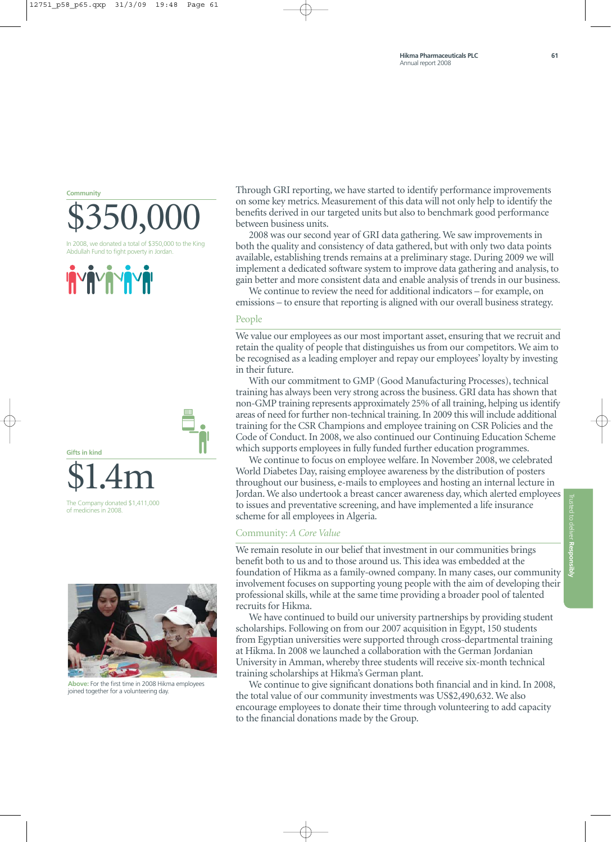#### **Community**

\$350,00

2008, we donated a total of \$350,000 to the King Abdullah Fund to fight poverty in Jordan.





The Company donated \$1,411,000 of medicines in 2008.



**Above:** For the first time in 2008 Hikma employees joined together for a volunteering day.

Through GRI reporting, we have started to identify performance improvements on some key metrics. Measurement of this data will not only help to identify the benefits derived in our targeted units but also to benchmark good performance between business units.

2008 was our second year of GRI data gathering. We saw improvements in both the quality and consistency of data gathered, but with only two data points available, establishing trends remains at a preliminary stage. During 2009 we will implement a dedicated software system to improve data gathering and analysis, to gain better and more consistent data and enable analysis of trends in our business.

We continue to review the need for additional indicators – for example, on emissions – to ensure that reporting is aligned with our overall business strategy.

#### People

We value our employees as our most important asset, ensuring that we recruit and retain the quality of people that distinguishes us from our competitors. We aim to be recognised as a leading employer and repay our employees' loyalty by investing in their future.

With our commitment to GMP (Good Manufacturing Processes), technical training has always been very strong across the business. GRI data has shown that non-GMP training represents approximately 25% of all training, helping us identify areas of need for further non-technical training. In 2009 this will include additional training for the CSR Champions and employee training on CSR Policies and the Code of Conduct. In 2008, we also continued our Continuing Education Scheme which supports employees in fully funded further education programmes.

We continue to focus on employee welfare. In November 2008, we celebrated World Diabetes Day, raising employee awareness by the distribution of posters throughout our business, e-mails to employees and hosting an internal lecture in Jordan. We also undertook a breast cancer awareness day, which alerted employees to issues and preventative screening, and have implemented a life insurance scheme for all employees in Algeria.

# Community: *A Core Value*

We remain resolute in our belief that investment in our communities brings benefit both to us and to those around us. This idea was embedded at the foundation of Hikma as a family-owned company. In many cases, our community involvement focuses on supporting young people with the aim of developing their professional skills, while at the same time providing a broader pool of talented recruits for Hikma.

We have continued to build our university partnerships by providing student scholarships. Following on from our 2007 acquisition in Egypt, 150 students from Egyptian universities were supported through cross-departmental training at Hikma. In 2008 we launched a collaboration with the German Jordanian University in Amman, whereby three students will receive six-month technical training scholarships at Hikma's German plant.

We continue to give significant donations both financial and in kind. In 2008, the total value of our community investments was US\$2,490,632. We also encourage employees to donate their time through volunteering to add capacity to the financial donations made by the Group.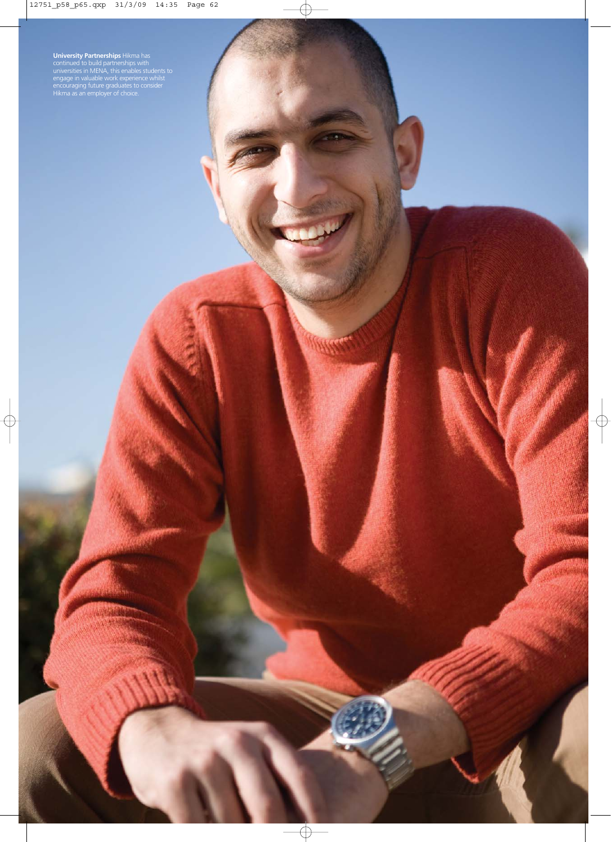**University Partnerships** Hikma has continued to build partnerships with universities in MENA, this enables students to engage in valuable work experience whilst encouraging future graduates to consider Hikma as an employer of choice.

HM

**ARGS**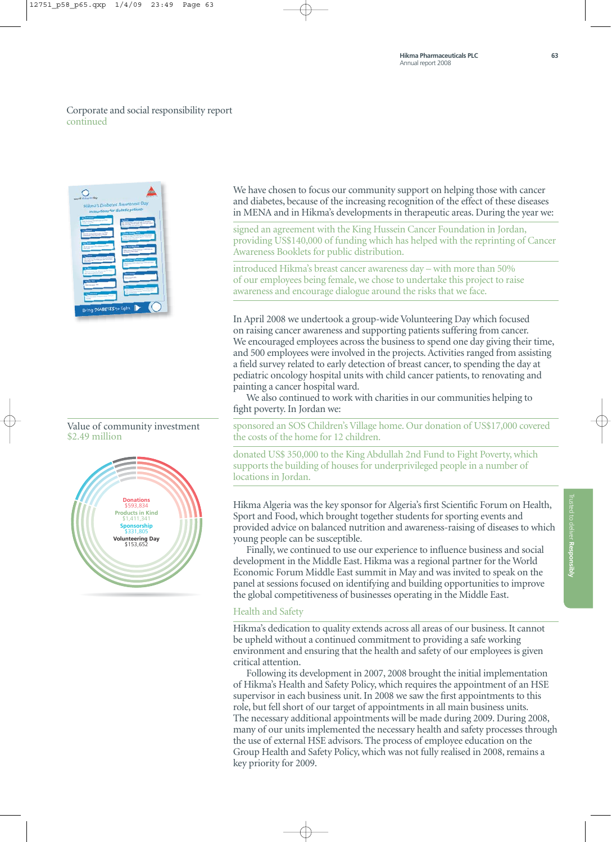# Corporate and social responsibility report continued



### Value of community investment \$2.49 million



We have chosen to focus our community support on helping those with cancer and diabetes, because of the increasing recognition of the effect of these diseases in MENA and in Hikma's developments in therapeutic areas. During the year we:

signed an agreement with the King Hussein Cancer Foundation in Jordan, providing US\$140,000 of funding which has helped with the reprinting of Cancer Awareness Booklets for public distribution.

introduced Hikma's breast cancer awareness day – with more than 50% of our employees being female, we chose to undertake this project to raise awareness and encourage dialogue around the risks that we face.

In April 2008 we undertook a group-wide Volunteering Day which focused on raising cancer awareness and supporting patients suffering from cancer. We encouraged employees across the business to spend one day giving their time, and 500 employees were involved in the projects. Activities ranged from assisting a field survey related to early detection of breast cancer, to spending the day at pediatric oncology hospital units with child cancer patients, to renovating and painting a cancer hospital ward.

We also continued to work with charities in our communities helping to fight poverty. In Jordan we:

sponsored an SOS Children's Village home. Our donation of US\$17,000 covered the costs of the home for 12 children.

donated US\$ 350,000 to the King Abdullah 2nd Fund to Fight Poverty, which supports the building of houses for underprivileged people in a number of locations in Jordan.

Hikma Algeria was the key sponsor for Algeria's first Scientific Forum on Health, Sport and Food, which brought together students for sporting events and provided advice on balanced nutrition and awareness-raising of diseases to which young people can be susceptible.

Finally, we continued to use our experience to influence business and social development in the Middle East. Hikma was a regional partner for the World Economic Forum Middle East summit in May and was invited to speak on the panel at sessions focused on identifying and building opportunities to improve the global competitiveness of businesses operating in the Middle East.

# Health and Safety

Hikma's dedication to quality extends across all areas of our business. It cannot be upheld without a continued commitment to providing a safe working environment and ensuring that the health and safety of our employees is given critical attention.

Following its development in 2007, 2008 brought the initial implementation of Hikma's Health and Safety Policy, which requires the appointment of an HSE supervisor in each business unit. In 2008 we saw the first appointments to this role, but fell short of our target of appointments in all main business units. The necessary additional appointments will be made during 2009. During 2008, many of our units implemented the necessary health and safety processes through the use of external HSE advisors. The process of employee education on the Group Health and Safety Policy, which was not fully realised in 2008, remains a key priority for 2009.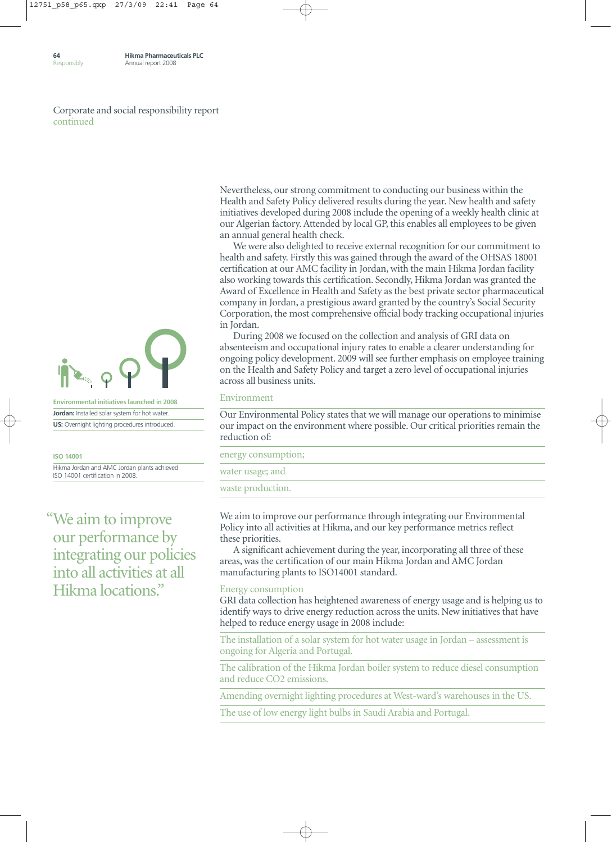Corporate and social responsibility report continued



**Environmental initiatives launched in 2008 Jordan:** Installed solar system for hot water. **US:** Overnight lighting procedures introduced.

**ISO 14001** Hikma Jordan and AMC Jordan plants achieved ISO 14001 certification in 2008.

"We aim to improve our performance by integrating our policies into all activities at all Hikma locations."

Nevertheless, our strong commitment to conducting our business within the Health and Safety Policy delivered results during the year. New health and safety initiatives developed during 2008 include the opening of a weekly health clinic at our Algerian factory. Attended by local GP, this enables all employees to be given an annual general health check.

We were also delighted to receive external recognition for our commitment to health and safety. Firstly this was gained through the award of the OHSAS 18001 certification at our AMC facility in Jordan, with the main Hikma Jordan facility also working towards this certification. Secondly, Hikma Jordan was granted the Award of Excellence in Health and Safety as the best private sector pharmaceutical company in Jordan, a prestigious award granted by the country's Social Security Corporation, the most comprehensive official body tracking occupational injuries in Jordan.

During 2008 we focused on the collection and analysis of GRI data on absenteeism and occupational injury rates to enable a clearer understanding for ongoing policy development. 2009 will see further emphasis on employee training on the Health and Safety Policy and target a zero level of occupational injuries across all business units.

### Environment

Our Environmental Policy states that we will manage our operations to minimise our impact on the environment where possible. Our critical priorities remain the reduction of:

energy consumption;

water usage; and

waste production.

We aim to improve our performance through integrating our Environmental Policy into all activities at Hikma, and our key performance metrics reflect these priorities.

A significant achievement during the year, incorporating all three of these areas, was the certification of our main Hikma Jordan and AMC Jordan manufacturing plants to ISO14001 standard.

# Energy consumption

GRI data collection has heightened awareness of energy usage and is helping us to identify ways to drive energy reduction across the units. New initiatives that have helped to reduce energy usage in 2008 include:

The installation of a solar system for hot water usage in Jordan – assessment is ongoing for Algeria and Portugal.

The calibration of the Hikma Jordan boiler system to reduce diesel consumption and reduce CO2 emissions.

Amending overnight lighting procedures at West-ward's warehouses in the US.

The use of low energy light bulbs in Saudi Arabia and Portugal.